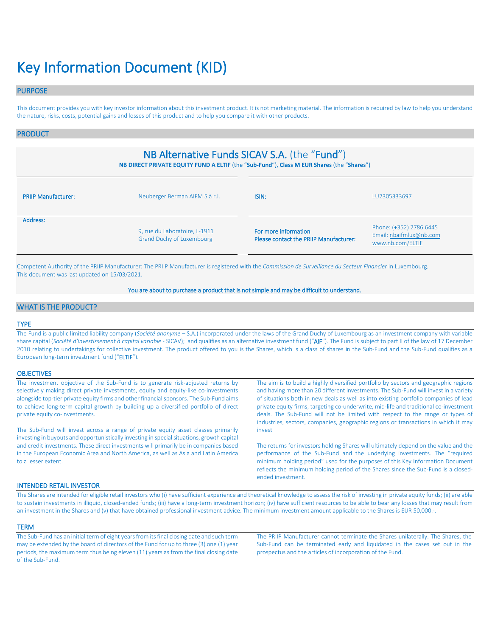# Key Information Document (KID)

# PURPOSE

This document provides you with key investor information about this investment product. It is not marketing material. The information is required by law to help you understand the nature, risks, costs, potential gains and losses of this product and to help you compare it with other products.

# PRODUCT

# NB Alternative Funds SICAV S.A. (the "Fund")

**NB DIRECT PRIVATE EQUITY FUND A ELTIF** (the "**Sub-Fund**"), **Class M EUR Shares** (the "**Shares**")

| <b>PRIIP Manufacturer:</b> | Neuberger Berman AIFM S.à r.l.                                    |                                                                | LU2305333697                                                           |
|----------------------------|-------------------------------------------------------------------|----------------------------------------------------------------|------------------------------------------------------------------------|
| Address:                   | 9, rue du Laboratoire, L-1911<br><b>Grand Duchy of Luxembourg</b> | For more information<br>Please contact the PRIIP Manufacturer: | Phone: (+352) 2786 6445<br>Email: nbaifmlux@nb.com<br>www.nb.com/ELTIF |

Competent Authority of the PRIIP Manufacturer: The PRIIP Manufacturer is registered with the *Commission de Surveillance du Secteur Financier* in Luxembourg. This document was last updated on 15/03/2021.

# You are about to purchase a product that is not simple and may be difficult to understand.

# WHAT IS THE PRODUCT?

# TYPE

The Fund is a public limited liability company (*Société anonyme* – S.A.) incorporated under the laws of the Grand Duchy of Luxembourg as an investment company with variable share capital (*Société d'investissement à capital variable* - SICAV); and qualifies as an alternative investment fund ("AIF"). The Fund is subject to part II of the law of 17 December 2010 relating to undertakings for collective investment. The product offered to you is the Shares, which is a class of shares in the Sub-Fund and the Sub-Fund qualifies as a European long-term investment fund ("ELTIF").

#### **OBJECTIVES**

| The investment objective of the Sub-Fund is to generate risk-adjusted returns by<br>selectively making direct private investments, equity and equity-like co-investments                           | The aim is to build a highly diversified portfolio by sectors and geographic regions<br>and having more than 20 different investments. The Sub-Fund will invest in a variety                                                                                                                                                                                  |
|----------------------------------------------------------------------------------------------------------------------------------------------------------------------------------------------------|---------------------------------------------------------------------------------------------------------------------------------------------------------------------------------------------------------------------------------------------------------------------------------------------------------------------------------------------------------------|
| alongside top-tier private equity firms and other financial sponsors. The Sub-Fund aims<br>to achieve long-term capital growth by building up a diversified portfolio of direct                    | of situations both in new deals as well as into existing portfolio companies of lead<br>private equity firms, targeting co-underwrite, mid-life and traditional co-investment                                                                                                                                                                                 |
| private equity co-investments.                                                                                                                                                                     | deals. The Sub-Fund will not be limited with respect to the range or types of<br>industries, sectors, companies, geographic regions or transactions in which it may                                                                                                                                                                                           |
| The Sub-Fund will invest across a range of private equity asset classes primarily<br>investing in buyouts and opportunistically investing in special situations, growth capital                    | invest                                                                                                                                                                                                                                                                                                                                                        |
| and credit investments. These direct investments will primarily be in companies based<br>in the European Economic Area and North America, as well as Asia and Latin America<br>to a lesser extent. | The returns for investors holding Shares will ultimately depend on the value and the<br>performance of the Sub-Fund and the underlying investments. The "required<br>minimum holding period" used for the purposes of this Key Information Document<br>reflects the minimum holding period of the Shares since the Sub-Fund is a closed-<br>ended investment. |

# INTENDED RETAIL INVESTOR

The Shares are intended for eligible retail investors who (i) have sufficient experience and theoretical knowledge to assess the risk of investing in private equity funds; (ii) are able to sustain investments in illiquid, closed-ended funds; (iii) have a long-term investment horizon; (iv) have sufficient resources to be able to bear any losses that may result from an investment in the Shares and (v) that have obtained professional investment advice. The minimum investment amount applicable to the Shares is EUR 50,000.-.

### **TERM**

The Sub-Fund has an initial term of eight years from its final closing date and such term may be extended by the board of directors of the Fund for up to three (3) one (1) year periods, the maximum term thus being eleven (11) years as from the final closing date of the Sub-Fund.

The PRIIP Manufacturer cannot terminate the Shares unilaterally. The Shares, the Sub-Fund can be terminated early and liquidated in the cases set out in the prospectus and the articles of incorporation of the Fund.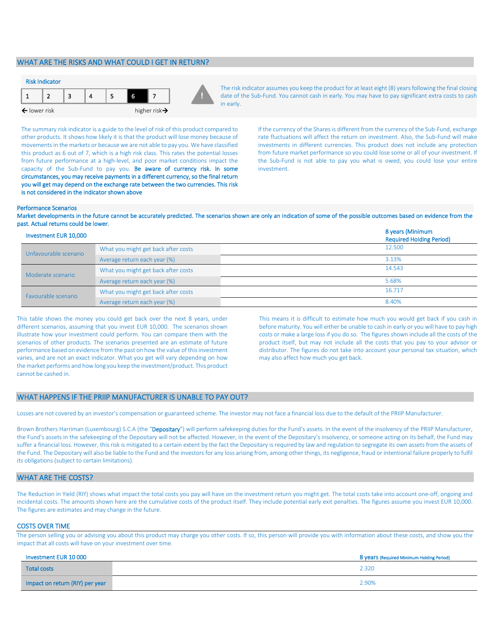# WHAT ARE THE RISKS AND WHAT COULD I GET IN RETURN?



The risk indicator assumes you keep the product for at least eight (8) years following the final closing date of the Sub-Fund. You cannot cash in early. You may have to pay significant extra costs to cash in early.

The summary risk indicator is a guide to the level of risk of this product compared to other products. It shows how likely it is that the product will lose money because of movements in the markets or because we are not able to pay you. We have classified this product as 6 out of 7, which is a high risk class. This rates the potential losses from future performance at a high-level, and poor market conditions impact the capacity of the Sub-Fund to pay you. Be aware of currency risk. In some circumstances, you may receive payments in a different currency, so the final return you will get may depend on the exchange rate between the two currencies. This risk is not considered in the indicator shown above

If the currency of the Shares is different from the currency of the Sub-Fund, exchange rate fluctuations will affect the return on investment. Also, the Sub-Fund will make investments in different currencies. This product does not include any protection from future market performance so you could lose some or all of your investment. If the Sub-Fund is not able to pay you what is owed, you could lose your entire investment.

#### Performance Scenarios

Market developments in the future cannot be accurately predicted. The scenarios shown are only an indication of some of the possible outcomes based on evidence from the past. Actual returns could be lower.

| Investment EUR 10,000 |                                     | 8 years (Minimum<br><b>Required Holding Period)</b> |
|-----------------------|-------------------------------------|-----------------------------------------------------|
| Unfavourable scenario | What you might get back after costs | 12.500                                              |
|                       | Average return each year (%)        | 3.13%                                               |
| Moderate scenario     | What you might get back after costs | 14.543                                              |
|                       | Average return each year (%)        | 5.68%                                               |
| Favourable scenario   | What you might get back after costs | 16.717                                              |
|                       | Average return each year (%)        | 8.40%                                               |

This table shows the money you could get back over the next 8 years, under different scenarios, assuming that you invest EUR 10,000. The scenarios shown illustrate how your investment could perform. You can compare them with the scenarios of other products. The scenarios presented are an estimate of future performance based on evidence from the past on how the value of this investment varies, and are not an exact indicator. What you get will vary depending on how the market performs and how long you keep the investment/product. This product cannot be cashed in.

This means it is difficult to estimate how much you would get back if you cash in before maturity. You will either be unable to cash in early or you will have to pay high costs or make a large loss if you do so. The figures shown include all the costs of the product itself, but may not include all the costs that you pay to your advisor or distributor. The figures do not take into account your personal tax situation, which may also affect how much you get back.

## WHAT HAPPENS IF THE PRIIP MANUFACTURER IS UNABLE TO PAY OUT?

Losses are not covered by an investor's compensation or guaranteed scheme. The investor may not face a financial loss due to the default of the PRIIP Manufacturer.

Brown Brothers Harriman (Luxembourg) S.C.A (the "Depositary") will perform safekeeping duties for the Fund's assets. In the event of the insolvency of the PRIIP Manufacturer, the Fund's assets in the safekeeping of the Depositary will not be affected. However, in the event of the Depositary's insolvency, or someone acting on its behalf, the Fund may suffer a financial loss. However, this risk is mitigated to a certain extent by the fact the Depositary is required by law and regulation to segregate its own assets from the assets of the Fund. The Depositary will also be liable to the Fund and the investors for any loss arising from, among other things, its negligence, fraud or intentional failure properly to fulfil its obligations (subject to certain limitations).

# WHAT ARE THE COSTS?

The Reduction in Yield (RIY) shows what impact the total costs you pay will have on the investment return you might get. The total costs take into account one-off, ongoing and incidental costs. The amounts shown here are the cumulative costs of the product itself. They include potential early exit penalties. The figures assume you invest EUR 10,000. The figures are estimates and may change in the future.

## COSTS OVER TIME

The person selling you or advising you about this product may charge you other costs. If so, this person will provide you with information about these costs, and show you the impact that all costs will have on your investment over time.

| Investment EUR 10 000           | 8 years (Required Minimum Holding Period) |
|---------------------------------|-------------------------------------------|
| <b>Total costs</b>              | 2.320                                     |
| Impact on return (RIY) per year | 2.90%                                     |